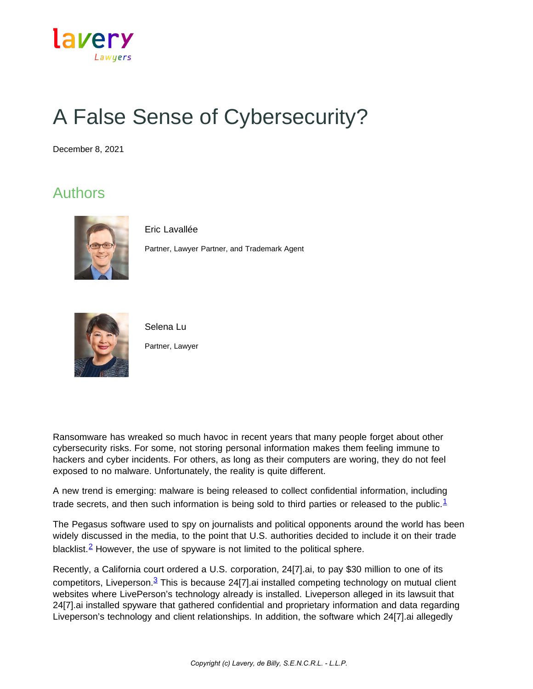

## A False Sense of Cybersecurity?

December 8, 2021

## Authors



Eric Lavallée

Partner, Lawyer Partner, and Trademark Agent



Selena Lu

Partner, Lawyer

Ransomware has wreaked so much havoc in recent years that many people forget about other cybersecurity risks. For some, not storing personal information makes them feeling immune to hackers and cyber incidents. For others, as long as their computers are woring, they do not feel exposed to no malware. Unfortunately, the reality is quite different.

A new trend is emerging: malware is being released to collect confidential information, including trade secrets, and then such information is being sold to third parties or released to the public.<sup>[1](https://www.lavery.ca/en/publications/our-publications/4287-A-False-Sense-of-Cybersecurity.html#01)</sup>

The Pegasus software used to spy on journalists and political opponents around the world has been widely discussed in the media, to the point that U.S. authorities decided to include it on their trade blacklist.<sup>2</sup> However, the use of spyware is not limited to the political sphere.

Recently, a California court ordered a U.S. corporation, 24[7].ai, to pay \$30 million to one of its competitors, Liveperson. $3$  This is because 24[7].ai installed competing technology on mutual client websites where LivePerson's technology already is installed. Liveperson alleged in its lawsuit that 24[7].ai installed spyware that gathered confidential and proprietary information and data regarding Liveperson's technology and client relationships. In addition, the software which 24[7].ai allegedly